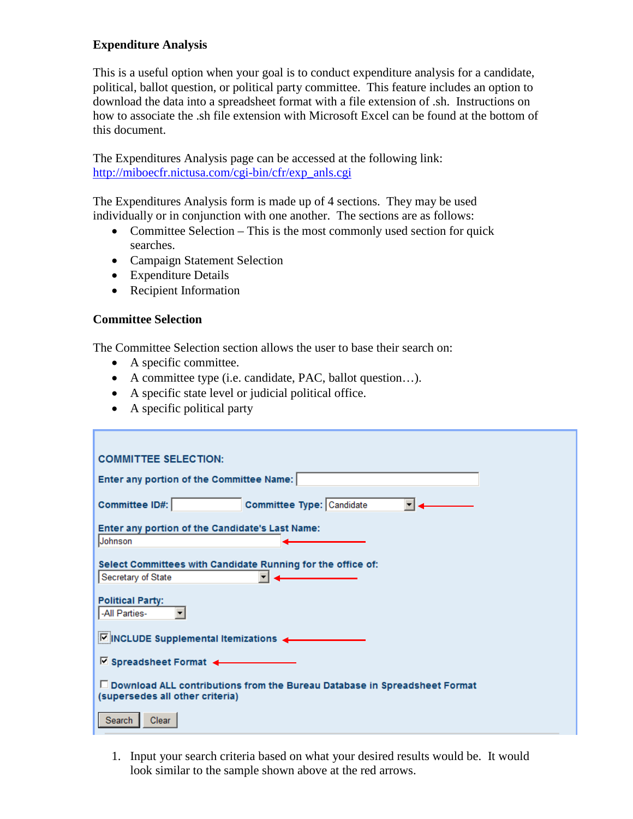# **Expenditure Analysis**

This is a useful option when your goal is to conduct expenditure analysis for a candidate, political, ballot question, or political party committee. This feature includes an option to download the data into a spreadsheet format with a file extension of .sh. Instructions on how to associate the .sh file extension with Microsoft Excel can be found at the bottom of this document.

The Expenditures Analysis page can be accessed at the following link: [http://miboecfr.nictusa.com/cgi-bin/cfr/exp\\_anls.cgi](http://miboecfr.nictusa.com/cgi-bin/cfr/exp_anls.cgi)

The Expenditures Analysis form is made up of 4 sections. They may be used individually or in conjunction with one another. The sections are as follows:

- Committee Selection This is the most commonly used section for quick searches.
- Campaign Statement Selection
- Expenditure Details
- Recipient Information

## **Committee Selection**

The Committee Selection section allows the user to base their search on:

- A specific committee.
- A committee type (i.e. candidate, PAC, ballot question…).
- A specific state level or judicial political office.
- A specific political party

| <b>COMMITTEE SELECTION:</b>                                                                                    |
|----------------------------------------------------------------------------------------------------------------|
| Enter any portion of the Committee Name:                                                                       |
| Committee Type: Candidate<br><b>Committee ID#:</b>                                                             |
| Enter any portion of the Candidate's Last Name:<br>Johnson                                                     |
| Select Committees with Candidate Running for the office of:<br>Secretary of State                              |
| <b>Political Party:</b><br>-All Parties-                                                                       |
| $\nabla$ INCLUDE Supplemental Itemizations                                                                     |
| $\overline{\phantom{a}}$ Spreadsheet Format $\overline{\phantom{a}}$                                           |
| □ Download ALL contributions from the Bureau Database in Spreadsheet Format<br>(supersedes all other criteria) |
| Search<br>Clear                                                                                                |

1. Input your search criteria based on what your desired results would be. It would look similar to the sample shown above at the red arrows.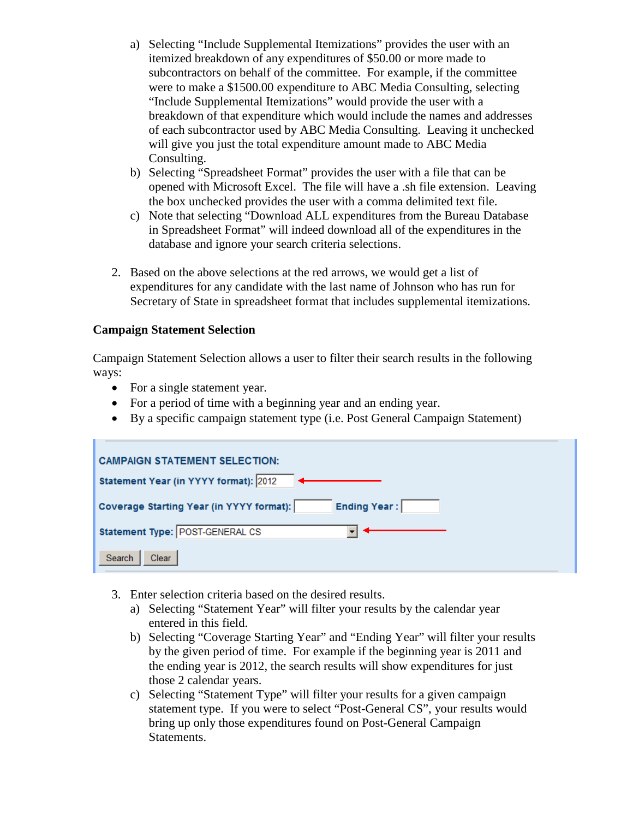- a) Selecting "Include Supplemental Itemizations" provides the user with an itemized breakdown of any expenditures of \$50.00 or more made to subcontractors on behalf of the committee. For example, if the committee were to make a \$1500.00 expenditure to ABC Media Consulting, selecting "Include Supplemental Itemizations" would provide the user with a breakdown of that expenditure which would include the names and addresses of each subcontractor used by ABC Media Consulting. Leaving it unchecked will give you just the total expenditure amount made to ABC Media Consulting.
- b) Selecting "Spreadsheet Format" provides the user with a file that can be opened with Microsoft Excel. The file will have a .sh file extension. Leaving the box unchecked provides the user with a comma delimited text file.
- c) Note that selecting "Download ALL expenditures from the Bureau Database in Spreadsheet Format" will indeed download all of the expenditures in the database and ignore your search criteria selections.
- 2. Based on the above selections at the red arrows, we would get a list of expenditures for any candidate with the last name of Johnson who has run for Secretary of State in spreadsheet format that includes supplemental itemizations.

## **Campaign Statement Selection**

Campaign Statement Selection allows a user to filter their search results in the following ways:

- For a single statement year.
- For a period of time with a beginning year and an ending year.
- By a specific campaign statement type (i.e. Post General Campaign Statement)

| <b>CAMPAIGN STATEMENT SELECTION:</b>                            |
|-----------------------------------------------------------------|
| Statement Year (in YYYY format): 2012                           |
| <b>Ending Year:</b><br>Coverage Starting Year (in YYYY format): |
| Statement Type: POST-GENERAL CS                                 |
| Search<br>Clear                                                 |

- 3. Enter selection criteria based on the desired results.
	- a) Selecting "Statement Year" will filter your results by the calendar year entered in this field.
	- b) Selecting "Coverage Starting Year" and "Ending Year" will filter your results by the given period of time. For example if the beginning year is 2011 and the ending year is 2012, the search results will show expenditures for just those 2 calendar years.
	- c) Selecting "Statement Type" will filter your results for a given campaign statement type. If you were to select "Post-General CS", your results would bring up only those expenditures found on Post-General Campaign Statements.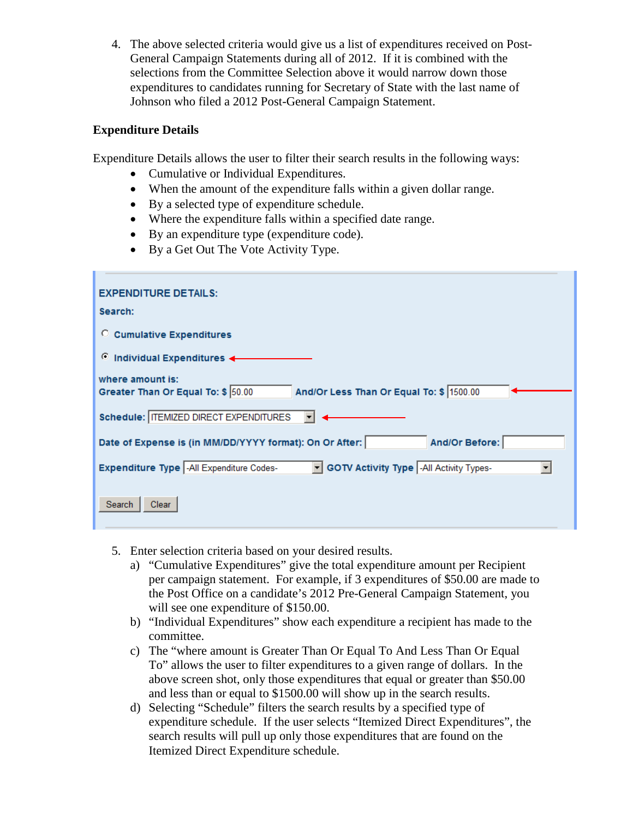4. The above selected criteria would give us a list of expenditures received on Post-General Campaign Statements during all of 2012. If it is combined with the selections from the Committee Selection above it would narrow down those expenditures to candidates running for Secretary of State with the last name of Johnson who filed a 2012 Post-General Campaign Statement.

#### **Expenditure Details**

Expenditure Details allows the user to filter their search results in the following ways:

- Cumulative or Individual Expenditures.
- When the amount of the expenditure falls within a given dollar range.
- By a selected type of expenditure schedule.
- Where the expenditure falls within a specified date range.
- By an expenditure type (expenditure code).
- By a Get Out The Vote Activity Type.

| <b>EXPENDITURE DETAILS:</b>                                                                        |
|----------------------------------------------------------------------------------------------------|
| Search:                                                                                            |
| C Cumulative Expenditures                                                                          |
| $\circ$ Individual Expenditures                                                                    |
| where amount is:<br>And/Or Less Than Or Equal To: \$ 1500.00<br>Greater Than Or Equal To: \$ 50.00 |
| Schedule:   ITEMIZED DIRECT EXPENDITURES                                                           |
| And/Or Before:<br>Date of Expense is (in MM/DD/YYYY format): On Or After:                          |
| - GOTV Activity Type -All Activity Types-<br>Expenditure Type  -All Expenditure Codes-             |
| Search<br>Clear                                                                                    |

- 5. Enter selection criteria based on your desired results.
	- a) "Cumulative Expenditures" give the total expenditure amount per Recipient per campaign statement. For example, if 3 expenditures of \$50.00 are made to the Post Office on a candidate's 2012 Pre-General Campaign Statement, you will see one expenditure of \$150.00.
	- b) "Individual Expenditures" show each expenditure a recipient has made to the committee.
	- c) The "where amount is Greater Than Or Equal To And Less Than Or Equal To" allows the user to filter expenditures to a given range of dollars. In the above screen shot, only those expenditures that equal or greater than \$50.00 and less than or equal to \$1500.00 will show up in the search results.
	- d) Selecting "Schedule" filters the search results by a specified type of expenditure schedule. If the user selects "Itemized Direct Expenditures", the search results will pull up only those expenditures that are found on the Itemized Direct Expenditure schedule.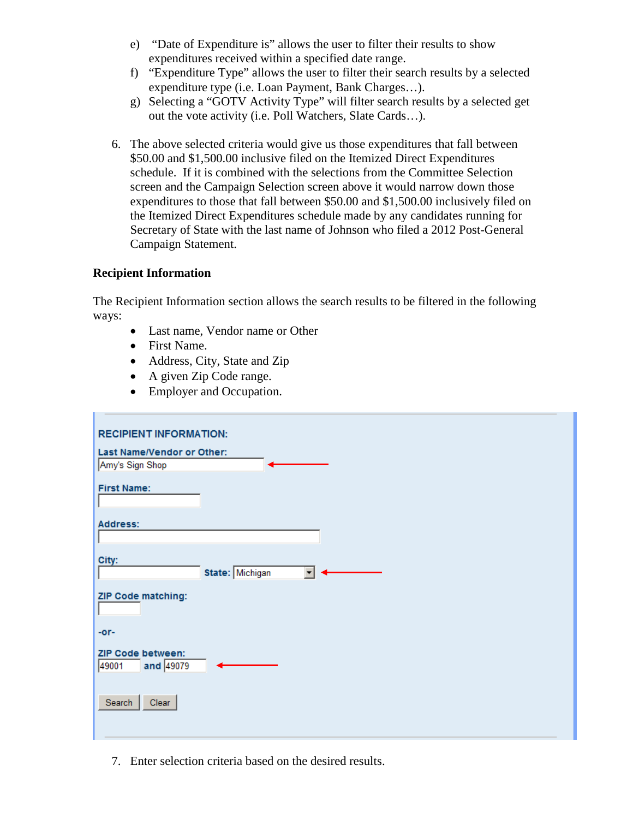- e) "Date of Expenditure is" allows the user to filter their results to show expenditures received within a specified date range.
- f) "Expenditure Type" allows the user to filter their search results by a selected expenditure type (i.e. Loan Payment, Bank Charges…).
- g) Selecting a "GOTV Activity Type" will filter search results by a selected get out the vote activity (i.e. Poll Watchers, Slate Cards…).
- 6. The above selected criteria would give us those expenditures that fall between \$50.00 and \$1,500.00 inclusive filed on the Itemized Direct Expenditures schedule. If it is combined with the selections from the Committee Selection screen and the Campaign Selection screen above it would narrow down those expenditures to those that fall between \$50.00 and \$1,500.00 inclusively filed on the Itemized Direct Expenditures schedule made by any candidates running for Secretary of State with the last name of Johnson who filed a 2012 Post-General Campaign Statement.

## **Recipient Information**

The Recipient Information section allows the search results to be filtered in the following ways:

- Last name, Vendor name or Other
- First Name.
- Address, City, State and Zip
- A given Zip Code range.
- Employer and Occupation.

| <b>RECIPIENT INFORMATION:</b>                        |
|------------------------------------------------------|
| Last Name/Vendor or Other:                           |
| Amy's Sign Shop                                      |
| <b>First Name:</b>                                   |
| <b>Address:</b>                                      |
|                                                      |
| City:<br>State: Michigan<br>$\overline{\phantom{0}}$ |
| ZIP Code matching:                                   |
| $-0r-$                                               |
| <b>ZIP Code between:</b><br>and 49079<br>49001       |
| Search<br>Clear                                      |

7. Enter selection criteria based on the desired results.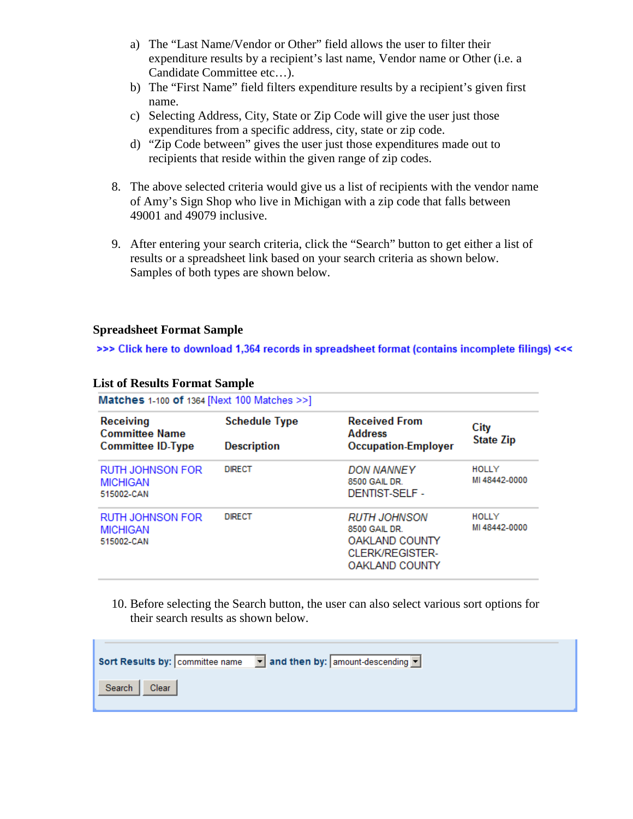- a) The "Last Name/Vendor or Other" field allows the user to filter their expenditure results by a recipient's last name, Vendor name or Other (i.e. a Candidate Committee etc…).
- b) The "First Name" field filters expenditure results by a recipient's given first name.
- c) Selecting Address, City, State or Zip Code will give the user just those expenditures from a specific address, city, state or zip code.
- d) "Zip Code between" gives the user just those expenditures made out to recipients that reside within the given range of zip codes.
- 8. The above selected criteria would give us a list of recipients with the vendor name of Amy's Sign Shop who live in Michigan with a zip code that falls between 49001 and 49079 inclusive.
- 9. After entering your search criteria, click the "Search" button to get either a list of results or a spreadsheet link based on your search criteria as shown below. Samples of both types are shown below.

## **Spreadsheet Format Sample**

>>> Click here to download 1,364 records in spreadsheet format (contains incomplete filings) <<<

| Matches 1-100 of 1364 [Next 100 Matches >>]                           |                                            |                                                                                                           |                          |
|-----------------------------------------------------------------------|--------------------------------------------|-----------------------------------------------------------------------------------------------------------|--------------------------|
| <b>Receiving</b><br><b>Committee Name</b><br><b>Committee ID-Type</b> | <b>Schedule Type</b><br><b>Description</b> | <b>Received From</b><br><b>Address</b><br><b>Occupation-Employer</b>                                      | City<br><b>State Zip</b> |
| RUTH JOHNSON FOR<br><b>MICHIGAN</b><br>515002-CAN                     | <b>DIRECT</b>                              | <b>DON NANNEY</b><br>8500 GAIL DR.<br>DENTIST-SELE -                                                      | HOLLY<br>MI 48442-0000   |
| <b>RUTH JOHNSON FOR</b><br><b>MICHIGAN</b><br>515002-CAN              | <b>DIRECT</b>                              | <b>RUTH JOHNSON</b><br>8500 GAIL DR.<br>OAKLAND COUNTY<br><b>CLERK/REGISTER-</b><br><b>OAKLAND COUNTY</b> | HOLLY<br>MI 48442-0000   |

#### **List of Results Format Sample** .

10. Before selecting the Search button, the user can also select various sort options for their search results as shown below.

|                 | Sort Results by: $\boxed{\text{commit}}$ committee name $\boxed{\text{I}}$ and then by: $\boxed{\text{amount-descending}}$ |
|-----------------|----------------------------------------------------------------------------------------------------------------------------|
| Search<br>Clear |                                                                                                                            |